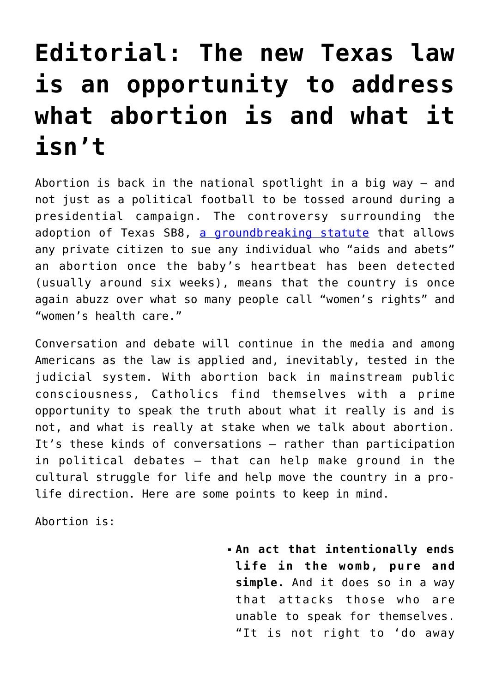## **[Editorial: The new Texas law](https://www.osvnews.com/2021/09/07/the-new-texas-law-is-an-opportunity-to-address-what-abortion-is-and-what-it-isnt/) [is an opportunity to address](https://www.osvnews.com/2021/09/07/the-new-texas-law-is-an-opportunity-to-address-what-abortion-is-and-what-it-isnt/) [what abortion is and what it](https://www.osvnews.com/2021/09/07/the-new-texas-law-is-an-opportunity-to-address-what-abortion-is-and-what-it-isnt/) [isn't](https://www.osvnews.com/2021/09/07/the-new-texas-law-is-an-opportunity-to-address-what-abortion-is-and-what-it-isnt/)**

Abortion is back in the national spotlight in a big way  $-$  and not just as a political football to be tossed around during a presidential campaign. The controversy surrounding the adoption of Texas SB8, [a groundbreaking statute](https://osvnews.com/2021/09/07/pro-lifers-cheer-new-texas-law-while-abortion-advocates-show-their-true-colors/) that allows any private citizen to sue any individual who "aids and abets" an abortion once the baby's heartbeat has been detected (usually around six weeks), means that the country is once again abuzz over what so many people call "women's rights" and "women's health care."

Conversation and debate will continue in the media and among Americans as the law is applied and, inevitably, tested in the judicial system. With abortion back in mainstream public consciousness, Catholics find themselves with a prime opportunity to speak the truth about what it really is and is not, and what is really at stake when we talk about abortion. It's these kinds of conversations — rather than participation in political debates — that can help make ground in the cultural struggle for life and help move the country in a prolife direction. Here are some points to keep in mind.

Abortion is:

**An act that intentionally ends life in the womb, pure and simple.** And it does so in a way that attacks those who are unable to speak for themselves. "It is not right to 'do away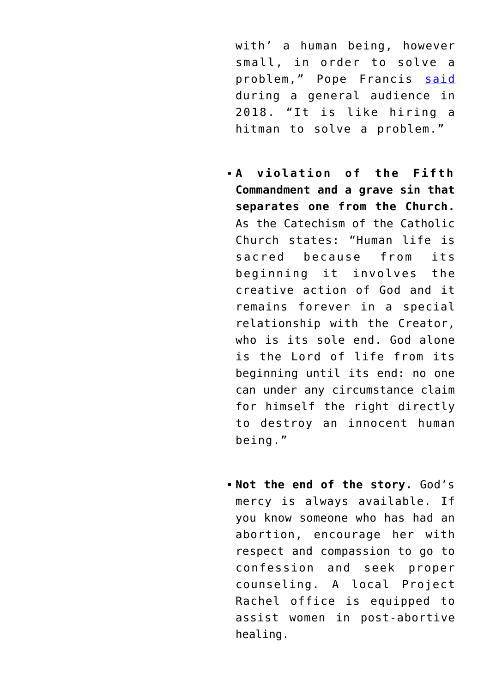with' a human being, however small, in order to solve a problem," Pope Francis [said](https://www.vatican.va/content/francesco/en/audiences/2018/documents/papa-francesco_20181010_udienza-generale.html) during a general audience in 2018. "It is like hiring a hitman to solve a problem."

- **A violation of the Fifth Commandment and a grave sin that separates one from the Church.** As the Catechism of the Catholic Church states: "Human life is sacred because from its beginning it involves the creative action of God and it remains forever in a special relationship with the Creator, who is its sole end. God alone is the Lord of life from its beginning until its end: no one can under any circumstance claim for himself the right directly to destroy an innocent human being."
- **Not the end of the story.** God's mercy is always available. If you know someone who has had an abortion, encourage her with respect and compassion to go to confession and seek proper counseling. A local Project Rachel office is equipped to assist women in post-abortive healing.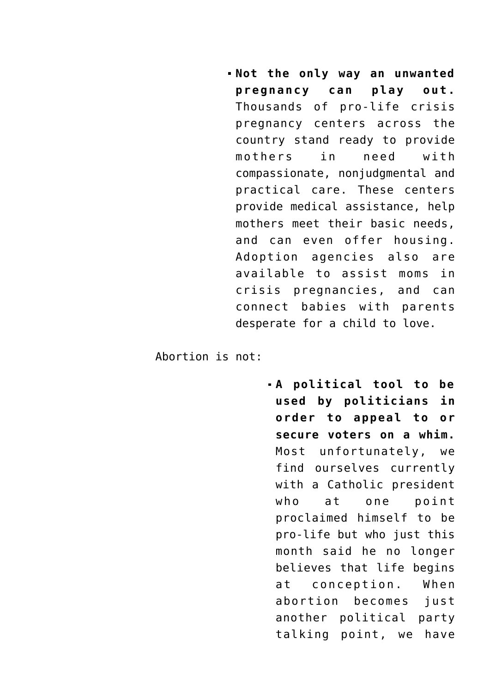**Not the only way an unwanted pregnancy can play out.** Thousands of pro-life crisis pregnancy centers across the country stand ready to provide mothers in need with compassionate, nonjudgmental and practical care. These centers provide medical assistance, help mothers meet their basic needs, and can even offer housing. Adoption agencies also are available to assist moms in crisis pregnancies, and can connect babies with parents desperate for a child to love.

Abortion is not:

**A political tool to be used by politicians in order to appeal to or secure voters on a whim.** Most unfortunately, we find ourselves currently with a Catholic president who at one point proclaimed himself to be pro-life but who just this month said he no longer believes that life begins at conception. When abortion becomes just another political party talking point, we have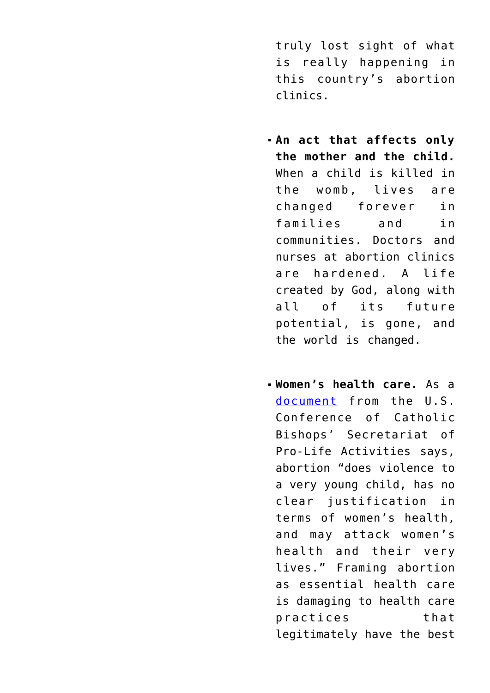truly lost sight of what is really happening in this country's abortion clinics.

- **An act that affects only the mother and the child.** When a child is killed in the womb, lives are changed forever in families and in communities. Doctors and nurses at abortion clinics are hardened. A life created by God, along with all of its future potential, is gone, and the world is changed.
- **Women's health care.** As a [document](https://www.usccb.org/resources/Abortion%20is%20Not%20Healthcare%20final.pdf) from the U.S. Conference of Catholic Bishops' Secretariat of Pro-Life Activities says, abortion "does violence to a very young child, has no clear justification in terms of women's health, and may attack women's health and their very lives." Framing abortion as essential health care is damaging to health care practices that legitimately have the best